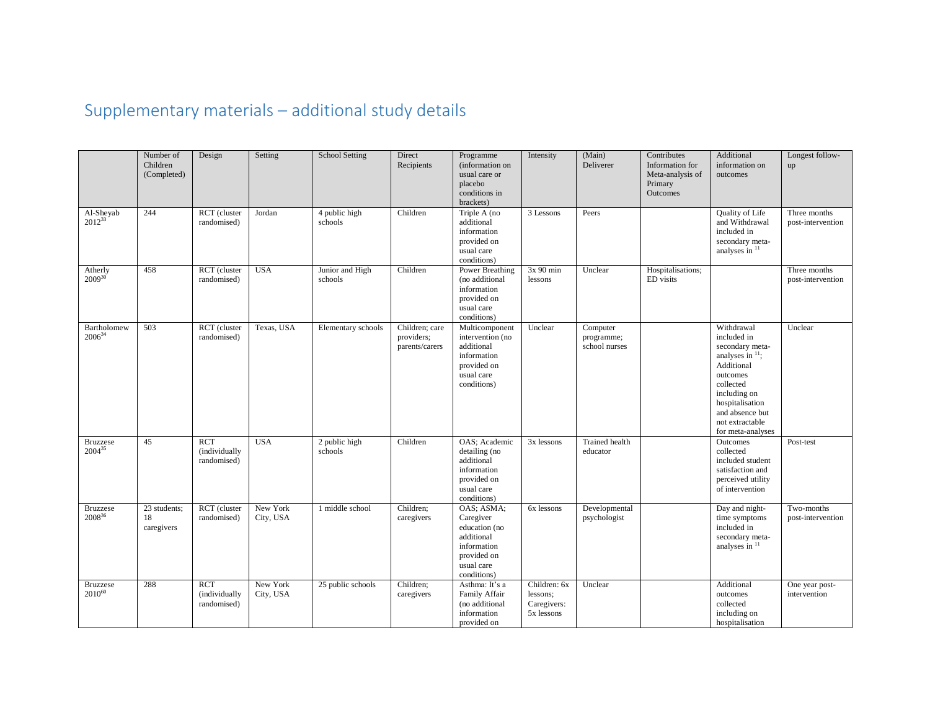## Supplementary materials – additional study details

|                                | Number of<br>Children<br>(Completed) | Design                                     | Setting               | <b>School Setting</b>      | Direct<br>Recipients                           | Programme<br>(information on<br>usual care or<br>placebo<br>conditions in<br>brackets)                            | Intensity                                             | (Main)<br>Deliverer                     | Contributes<br>Information for<br>Meta-analysis of<br>Primary<br>Outcomes | Additional<br>information on<br>outcomes                                                                                                                                                                          | Longest follow-<br>up             |
|--------------------------------|--------------------------------------|--------------------------------------------|-----------------------|----------------------------|------------------------------------------------|-------------------------------------------------------------------------------------------------------------------|-------------------------------------------------------|-----------------------------------------|---------------------------------------------------------------------------|-------------------------------------------------------------------------------------------------------------------------------------------------------------------------------------------------------------------|-----------------------------------|
| Al-Sheyab<br>$2012^{33}$       | 244                                  | RCT (cluster<br>randomised)                | Jordan                | 4 public high<br>schools   | Children                                       | Triple A (no<br>additional<br>information<br>provided on<br>usual care<br>conditions)                             | 3 Lessons                                             | Peers                                   |                                                                           | Quality of Life<br>and Withdrawal<br>included in<br>secondary meta-<br>analyses in 11                                                                                                                             | Three months<br>post-intervention |
| Atherly<br>$2009^{30}$         | 458                                  | RCT (cluster<br>randomised)                | <b>USA</b>            | Junior and High<br>schools | Children                                       | Power Breathing<br>(no additional<br>information<br>provided on<br>usual care<br>conditions)                      | 3x 90 min<br>lessons                                  | Unclear                                 | Hospitalisations;<br>ED visits                                            |                                                                                                                                                                                                                   | Three months<br>post-intervention |
| Bartholomew<br>$2006^{34}$     | 503                                  | RCT (cluster<br>randomised)                | Texas, USA            | Elementary schools         | Children; care<br>providers;<br>parents/carers | Multicomponent<br>intervention (no<br>additional<br>information<br>provided on<br>usual care<br>conditions)       | Unclear                                               | Computer<br>programme;<br>school nurses |                                                                           | Withdrawal<br>included in<br>secondary meta-<br>analyses in $\frac{11}{1}$ ;<br>Additional<br>outcomes<br>collected<br>including on<br>hospitalisation<br>and absence but<br>not extractable<br>for meta-analyses | Unclear                           |
| <b>Bruzzese</b><br>$2004^{35}$ | 45                                   | RCT<br>(individually<br>randomised)        | <b>USA</b>            | 2 public high<br>schools   | Children                                       | OAS; Academic<br>detailing (no<br>additional<br>information<br>provided on<br>usual care<br>conditions)           | 3x lessons                                            | Trained health<br>educator              |                                                                           | Outcomes<br>collected<br>included student<br>satisfaction and<br>perceived utility<br>of intervention                                                                                                             | Post-test                         |
| <b>Bruzzese</b><br>200836      | 23 students;<br>18<br>caregivers     | RCT (cluster<br>randomised)                | New York<br>City, USA | 1 middle school            | Children:<br>caregivers                        | OAS; ASMA;<br>Caregiver<br>education (no<br>additional<br>information<br>provided on<br>usual care<br>conditions) | 6x lessons                                            | Developmental<br>psychologist           |                                                                           | Day and night-<br>time symptoms<br>included in<br>secondary meta-<br>analyses in 11                                                                                                                               | Two-months<br>post-intervention   |
| <b>Bruzzese</b><br>$2010^{60}$ | 288                                  | <b>RCT</b><br>(individually<br>randomised) | New York<br>City, USA | 25 public schools          | Children:<br>caregivers                        | Asthma: It's a<br>Family Affair<br>(no additional<br>information<br>provided on                                   | Children: 6x<br>lessons;<br>Caregivers:<br>5x lessons | Unclear                                 |                                                                           | Additional<br>outcomes<br>collected<br>including on<br>hospitalisation                                                                                                                                            | One year post-<br>intervention    |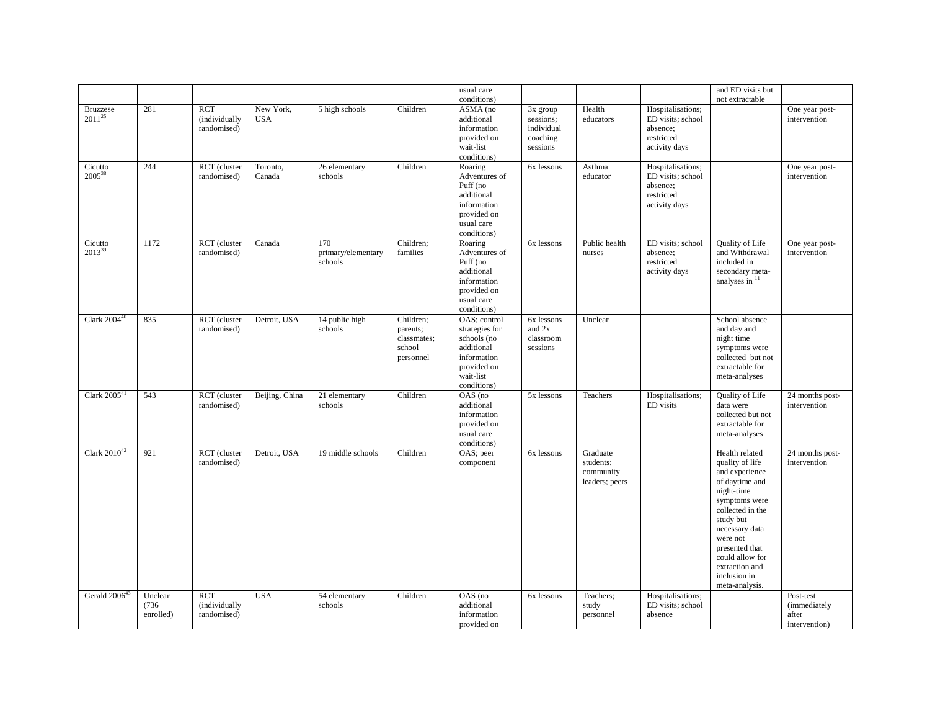|                                |                               |                                            |                         |                                      |                                                             | usual care                                                                                                            |                                                               |                                                      |                                                                                   | and ED visits but                                                                                                                                                                                                                                            |                                                     |
|--------------------------------|-------------------------------|--------------------------------------------|-------------------------|--------------------------------------|-------------------------------------------------------------|-----------------------------------------------------------------------------------------------------------------------|---------------------------------------------------------------|------------------------------------------------------|-----------------------------------------------------------------------------------|--------------------------------------------------------------------------------------------------------------------------------------------------------------------------------------------------------------------------------------------------------------|-----------------------------------------------------|
|                                |                               |                                            |                         |                                      |                                                             | conditions)                                                                                                           |                                                               |                                                      |                                                                                   | not extractable                                                                                                                                                                                                                                              |                                                     |
| <b>Bruzzese</b><br>$2011^{25}$ | 281                           | RCT<br>(individually<br>randomised)        | New York,<br><b>USA</b> | 5 high schools                       | Children                                                    | ASMA (no<br>additional<br>information<br>provided on<br>wait-list<br>conditions)                                      | $3x$ group<br>sessions:<br>individual<br>coaching<br>sessions | Health<br>educators                                  | Hospitalisations;<br>ED visits; school<br>absence:<br>restricted<br>activity days |                                                                                                                                                                                                                                                              | One year post-<br>intervention                      |
| Cicutto<br>2005 <sup>38</sup>  | 244                           | RCT (cluster<br>randomised)                | Toronto,<br>Canada      | 26 elementary<br>schools             | Children                                                    | Roaring<br>Adventures of<br>Puff (no<br>additional<br>information<br>provided on<br>usual care<br>conditions)         | 6x lessons                                                    | Asthma<br>educator                                   | Hospitalisations;<br>ED visits; school<br>absence:<br>restricted<br>activity days |                                                                                                                                                                                                                                                              | One year post-<br>intervention                      |
| Cicutto<br>$2013^{39}$         | 1172                          | RCT (cluster<br>randomised)                | Canada                  | 170<br>primary/elementary<br>schools | Children;<br>families                                       | Roaring<br>Adventures of<br>Puff (no<br>additional<br>information<br>provided on<br>usual care<br>conditions)         | 6x lessons                                                    | Public health<br>nurses                              | ED visits; school<br>absence:<br>restricted<br>activity days                      | Quality of Life<br>and Withdrawal<br>included in<br>secondary meta-<br>analyses in $11$                                                                                                                                                                      | One year post-<br>intervention                      |
| Clark $2004^{40}$              | 835                           | RCT (cluster<br>randomised)                | Detroit, USA            | 14 public high<br>schools            | Children;<br>parents;<br>classmates;<br>school<br>personnel | OAS; control<br>strategies for<br>schools (no<br>additional<br>information<br>provided on<br>wait-list<br>conditions) | 6x lessons<br>and 2x<br>classroom<br>sessions                 | Unclear                                              |                                                                                   | School absence<br>and day and<br>night time<br>symptoms were<br>collected but not<br>extractable for<br>meta-analyses                                                                                                                                        |                                                     |
| Clark $200541$                 | 543                           | RCT (cluster<br>randomised)                | Beijing, China          | 21 elementary<br>schools             | Children                                                    | OAS (no<br>additional<br>information<br>provided on<br>usual care<br>conditions)                                      | 5x lessons                                                    | Teachers                                             | Hospitalisations;<br>ED visits                                                    | Quality of Life<br>data were<br>collected but not<br>extractable for<br>meta-analyses                                                                                                                                                                        | 24 months post-<br>intervention                     |
| Clark $2010^{42}$              | 921                           | RCT (cluster<br>randomised)                | Detroit, USA            | 19 middle schools                    | Children                                                    | OAS; peer<br>component                                                                                                | 6x lessons                                                    | Graduate<br>students;<br>community<br>leaders; peers |                                                                                   | Health related<br>quality of life<br>and experience<br>of daytime and<br>night-time<br>symptoms were<br>collected in the<br>study but<br>necessary data<br>were not<br>presented that<br>could allow for<br>extraction and<br>inclusion in<br>meta-analysis. | 24 months post-<br>intervention                     |
| Gerald 2006 <sup>4</sup>       | Unclear<br>(736)<br>enrolled) | <b>RCT</b><br>(individually<br>randomised) | <b>USA</b>              | 54 elementary<br>schools             | Children                                                    | OAS (no<br>additional<br>information<br>provided on                                                                   | 6x lessons                                                    | Teachers:<br>study<br>personnel                      | Hospitalisations;<br>ED visits; school<br>absence                                 |                                                                                                                                                                                                                                                              | Post-test<br>(immediately<br>after<br>intervention) |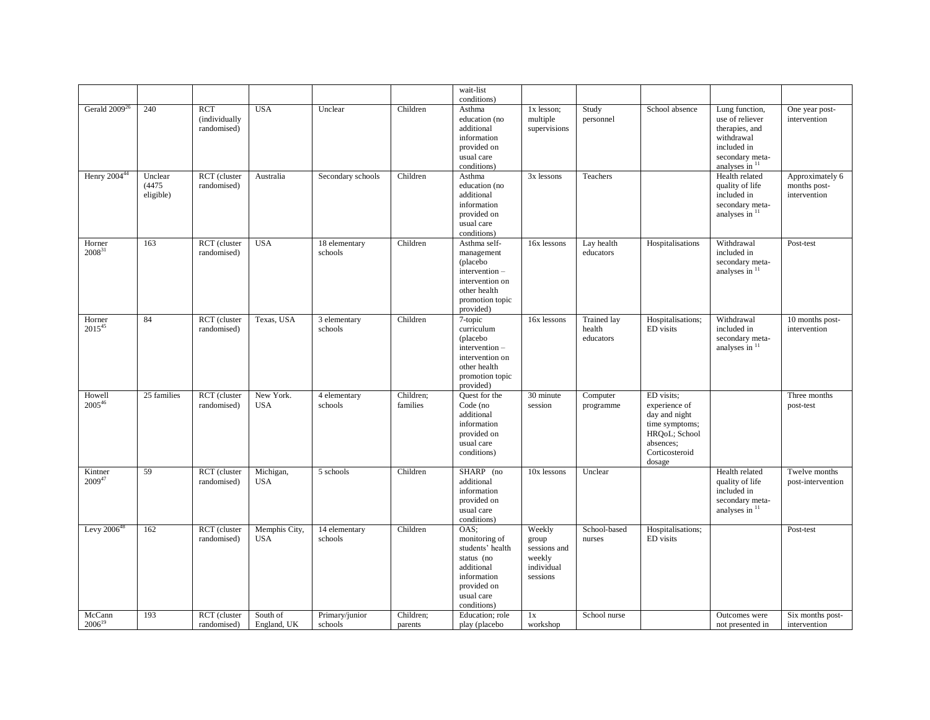|                        |                                |                                            |                             |                           |                       | wait-list                                                                                                                        |                                                                     |                                    |                                                                                                                          |                                                                                                                         |                                                 |
|------------------------|--------------------------------|--------------------------------------------|-----------------------------|---------------------------|-----------------------|----------------------------------------------------------------------------------------------------------------------------------|---------------------------------------------------------------------|------------------------------------|--------------------------------------------------------------------------------------------------------------------------|-------------------------------------------------------------------------------------------------------------------------|-------------------------------------------------|
| Gerald $2009^{26}$     | 240                            | <b>RCT</b><br>(individually<br>randomised) | <b>USA</b>                  | Unclear                   | Children              | conditions)<br>Asthma<br>education (no<br>additional<br>information<br>provided on<br>usual care<br>conditions)                  | 1x lesson;<br>multiple<br>supervisions                              | Study<br>personnel                 | School absence                                                                                                           | Lung function,<br>use of reliever<br>therapies, and<br>withdrawal<br>included in<br>secondary meta-<br>analyses in $11$ | One year post-<br>intervention                  |
| Henry $200444$         | Unclear<br>(4475)<br>eligible) | RCT (cluster<br>randomised)                | Australia                   | Secondary schools         | Children              | Asthma<br>education (no<br>additional<br>information<br>provided on<br>usual care<br>conditions)                                 | 3x lessons                                                          | Teachers                           |                                                                                                                          | Health related<br>quality of life<br>included in<br>secondary meta-<br>analyses in $11$                                 | Approximately 6<br>months post-<br>intervention |
| Horner<br>$2008^{31}$  | 163                            | RCT (cluster<br>randomised)                | <b>USA</b>                  | 18 elementary<br>schools  | Children              | Asthma self-<br>management<br>(placebo<br>intervention-<br>intervention on<br>other health<br>promotion topic<br>provided)       | 16x lessons                                                         | Lay health<br>educators            | Hospitalisations                                                                                                         | Withdrawal<br>included in<br>secondary meta-<br>analyses in $11$                                                        | Post-test                                       |
| Horner<br>$2015^{45}$  | 84                             | RCT (cluster<br>randomised)                | Texas, USA                  | 3 elementary<br>schools   | Children              | 7-topic<br>curriculum<br>(placebo<br>intervention-<br>intervention on<br>other health<br>promotion topic<br>provided)            | 16x lessons                                                         | Trained lay<br>health<br>educators | Hospitalisations;<br>ED visits                                                                                           | Withdrawal<br>included in<br>secondary meta-<br>analyses in $11$                                                        | 10 months post-<br>intervention                 |
| Howell<br>$2005^{46}$  | 25 families                    | RCT (cluster<br>randomised)                | New York.<br><b>USA</b>     | 4 elementary<br>schools   | Children:<br>families | Quest for the<br>Code (no<br>additional<br>information<br>provided on<br>usual care<br>conditions)                               | 30 minute<br>session                                                | Computer<br>programme              | ED visits:<br>experience of<br>day and night<br>time symptoms;<br>HRQoL; School<br>absences;<br>Corticosteroid<br>dosage |                                                                                                                         | Three months<br>post-test                       |
| Kintner<br>$2009^{47}$ | 59                             | RCT (cluster<br>randomised)                | Michigan,<br><b>USA</b>     | 5 schools                 | Children              | SHARP (no<br>additional<br>information<br>provided on<br>usual care<br>conditions)                                               | 10x lessons                                                         | Unclear                            |                                                                                                                          | Health related<br>quality of life<br>included in<br>secondary meta-<br>analyses in 11                                   | Twelve months<br>post-intervention              |
| Levy $2006^{48}$       | 162                            | RCT (cluster<br>randomised)                | Memphis City,<br><b>USA</b> | 14 elementary<br>schools  | Children              | OAS;<br>monitoring of<br>students' health<br>status (no<br>additional<br>information<br>provided on<br>usual care<br>conditions) | Weekly<br>group<br>sessions and<br>weekly<br>individual<br>sessions | School-based<br>nurses             | Hospitalisations;<br>ED visits                                                                                           |                                                                                                                         | Post-test                                       |
| McCann<br>$2006^{19}$  | 193                            | RCT (cluster<br>randomised)                | South of<br>England, UK     | Primary/junior<br>schools | Children:<br>parents  | Education; role<br>play (placebo                                                                                                 | 1x<br>workshop                                                      | School nurse                       |                                                                                                                          | Outcomes were<br>not presented in                                                                                       | Six months post-<br>intervention                |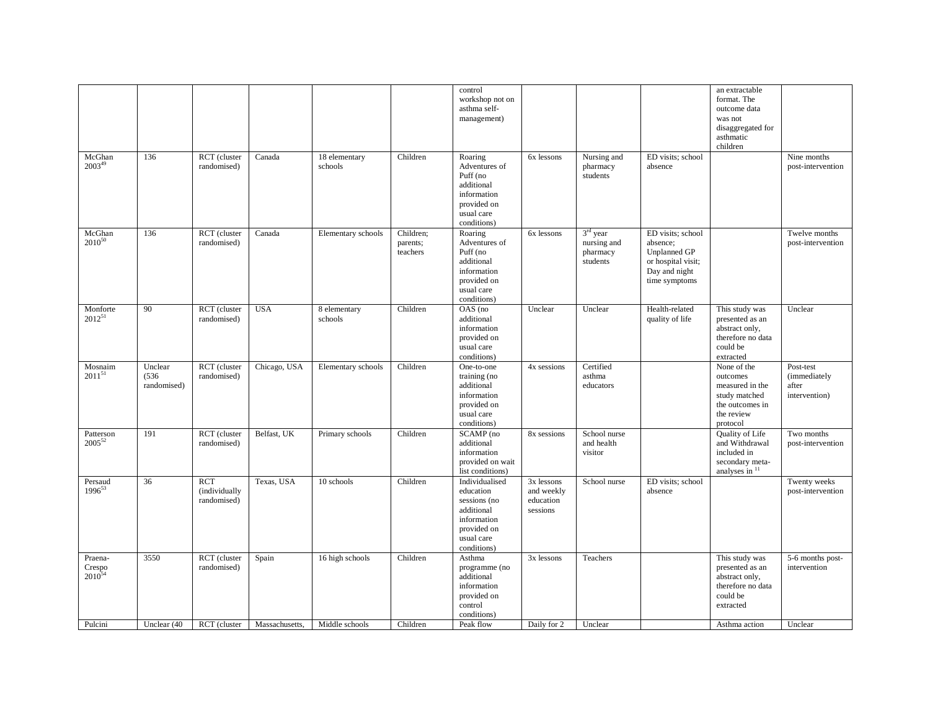|                                  |                                 |                                     |                |                          |                                   | control<br>workshop not on<br>asthma self-<br>management)                                                            |                                                   |                                                             |                                                                                                              | an extractable<br>format. The<br>outcome data<br>was not<br>disaggregated for<br>asthmatic<br>children   |                                                     |
|----------------------------------|---------------------------------|-------------------------------------|----------------|--------------------------|-----------------------------------|----------------------------------------------------------------------------------------------------------------------|---------------------------------------------------|-------------------------------------------------------------|--------------------------------------------------------------------------------------------------------------|----------------------------------------------------------------------------------------------------------|-----------------------------------------------------|
| McGhan<br>$2003^{49}$            | 136                             | RCT (cluster<br>randomised)         | Canada         | 18 elementary<br>schools | Children                          | Roaring<br>Adventures of<br>Puff (no<br>additional<br>information<br>provided on<br>usual care<br>conditions)        | 6x lessons                                        | Nursing and<br>pharmacy<br>students                         | ED visits; school<br>absence                                                                                 |                                                                                                          | Nine months<br>post-intervention                    |
| McGhan<br>$2010^{50}$            | 136                             | RCT (cluster<br>randomised)         | Canada         | Elementary schools       | Children;<br>parents;<br>teachers | Roaring<br>Adventures of<br>Puff (no<br>additional<br>information<br>provided on<br>usual care<br>conditions)        | 6x lessons                                        | 3 <sup>rd</sup> year<br>nursing and<br>pharmacy<br>students | ED visits; school<br>absence;<br><b>Unplanned GP</b><br>or hospital visit;<br>Day and night<br>time symptoms |                                                                                                          | Twelve months<br>post-intervention                  |
| Monforte<br>$2012^{51}$          | 90                              | RCT (cluster<br>randomised)         | <b>USA</b>     | 8 elementary<br>schools  | Children                          | OAS (no<br>additional<br>information<br>provided on<br>usual care<br>conditions)                                     | Unclear                                           | Unclear                                                     | Health-related<br>quality of life                                                                            | This study was<br>presented as an<br>abstract only,<br>therefore no data<br>could be<br>extracted        | Unclear                                             |
| Mosnaim<br>$2011^{51}$           | Unclear<br>(536)<br>randomised) | RCT (cluster<br>randomised)         | Chicago, USA   | Elementary schools       | Children                          | One-to-one<br>training (no<br>additional<br>information<br>provided on<br>usual care<br>conditions)                  | 4x sessions                                       | Certified<br>asthma<br>educators                            |                                                                                                              | None of the<br>outcomes<br>measured in the<br>study matched<br>the outcomes in<br>the review<br>protocol | Post-test<br>(immediately<br>after<br>intervention) |
| Patterson<br>$2005^{52}$         | 191                             | RCT (cluster<br>randomised)         | Belfast, UK    | Primary schools          | Children                          | SCAMP (no<br>additional<br>information<br>provided on wait<br>list conditions)                                       | 8x sessions                                       | School nurse<br>and health<br>visitor                       |                                                                                                              | <b>Quality of Life</b><br>and Withdrawal<br>included in<br>secondary meta-<br>analyses in <sup>11</sup>  | Two months<br>post-intervention                     |
| Persaud<br>$1996^{53}$           | 36                              | RCT<br>(individually<br>randomised) | Texas, USA     | 10 schools               | Children                          | Individualised<br>education<br>sessions (no<br>additional<br>information<br>provided on<br>usual care<br>conditions) | 3x lessons<br>and weekly<br>education<br>sessions | School nurse                                                | ED visits; school<br>absence                                                                                 |                                                                                                          | Twenty weeks<br>post-intervention                   |
| Praena-<br>Crespo<br>$2010^{54}$ | 3550                            | RCT (cluster<br>randomised)         | Spain          | 16 high schools          | Children                          | Asthma<br>programme (no<br>additional<br>information<br>provided on<br>control                                       | 3x lessons                                        | Teachers                                                    |                                                                                                              | This study was<br>presented as an<br>abstract only,<br>therefore no data<br>could be<br>extracted        | 5-6 months post-<br>intervention                    |
| Pulcini                          |                                 | RCT (cluster                        | Massachusetts, | Middle schools           | Children                          | conditions)<br>Peak flow                                                                                             | Daily for 2                                       | Unclear                                                     |                                                                                                              |                                                                                                          | Unclear                                             |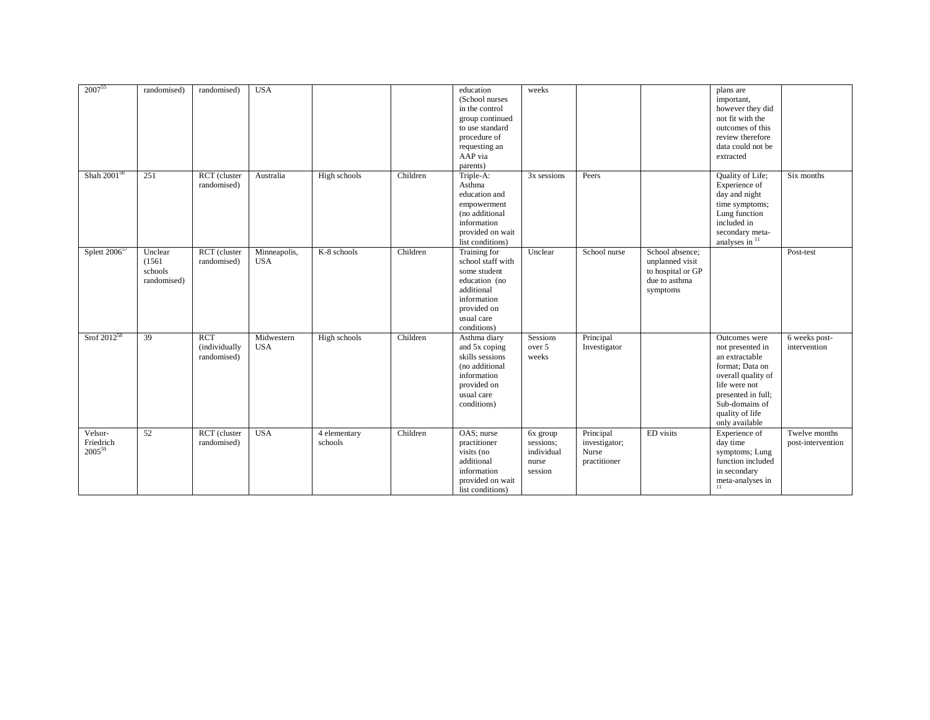| 2007 <sup>55</sup>                  | randomised)                                 | randomised)                                | <b>USA</b>                 |                         |          | education<br>(School nurses)<br>in the control<br>group continued<br>to use standard<br>procedure of<br>requesting an<br>AAP via<br>parents) | weeks                                                   |                                                     |                                                                                      | plans are<br>important,<br>however they did<br>not fit with the<br>outcomes of this<br>review therefore<br>data could not be<br>extracted                                                  |                                    |
|-------------------------------------|---------------------------------------------|--------------------------------------------|----------------------------|-------------------------|----------|----------------------------------------------------------------------------------------------------------------------------------------------|---------------------------------------------------------|-----------------------------------------------------|--------------------------------------------------------------------------------------|--------------------------------------------------------------------------------------------------------------------------------------------------------------------------------------------|------------------------------------|
| Shah 2001 <sup>56</sup>             | 251                                         | RCT (cluster<br>randomised)                | Australia                  | High schools            | Children | Triple-A:<br>Asthma<br>education and<br>empowerment<br>(no additional<br>information<br>provided on wait<br>list conditions)                 | 3x sessions                                             | Peers                                               |                                                                                      | Quality of Life;<br>Experience of<br>day and night<br>time symptoms;<br>Lung function<br>included in<br>secondary meta-<br>analyses in $\frac{1}{11}$                                      | Six months                         |
| Splett $2006^{57}$                  | Unclear<br>(1561)<br>schools<br>randomised) | RCT (cluster<br>randomised)                | Minneapolis,<br><b>USA</b> | K-8 schools             | Children | Training for<br>school staff with<br>some student<br>education (no<br>additional<br>information<br>provided on<br>usual care<br>conditions)  | Unclear                                                 | School nurse                                        | School absence:<br>unplanned visit<br>to hospital or GP<br>due to asthma<br>symptoms |                                                                                                                                                                                            | Post-test                          |
| Srof $2012^{58}$                    | 39                                          | <b>RCT</b><br>(individually<br>randomised) | Midwestern<br><b>USA</b>   | High schools            | Children | Asthma diary<br>and 5x coping<br>skills sessions<br>(no additional<br>information<br>provided on<br>usual care<br>conditions)                | Sessions<br>over 5<br>weeks                             | Principal<br>Investigator                           |                                                                                      | Outcomes were<br>not presented in<br>an extractable<br>format; Data on<br>overall quality of<br>life were not<br>presented in full;<br>Sub-domains of<br>quality of life<br>only available | 6 weeks post-<br>intervention      |
| Velsor-<br>Friedrich<br>$2005^{59}$ | 52                                          | RCT (cluster<br>randomised)                | <b>USA</b>                 | 4 elementary<br>schools | Children | $\overline{OAS}$ ; nurse<br>practitioner<br>visits (no<br>additional<br>information<br>provided on wait<br>list conditions)                  | 6x group<br>sessions;<br>individual<br>nurse<br>session | Principal<br>investigator;<br>Nurse<br>practitioner | ED visits                                                                            | Experience of<br>day time<br>symptoms; Lung<br>function included<br>in secondary<br>meta-analyses in<br>11                                                                                 | Twelve months<br>post-intervention |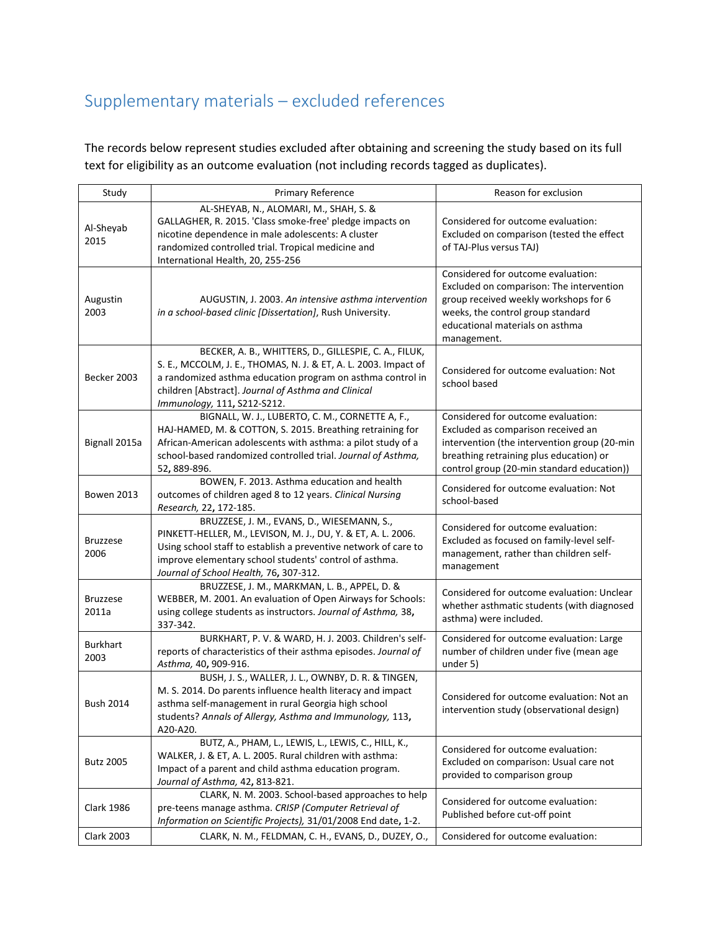## Supplementary materials – excluded references

The records below represent studies excluded after obtaining and screening the study based on its full text for eligibility as an outcome evaluation (not including records tagged as duplicates).

| Study                    | Primary Reference                                                                                                                                                                                                                                                                 | Reason for exclusion                                                                                                                                                                                              |
|--------------------------|-----------------------------------------------------------------------------------------------------------------------------------------------------------------------------------------------------------------------------------------------------------------------------------|-------------------------------------------------------------------------------------------------------------------------------------------------------------------------------------------------------------------|
| Al-Sheyab<br>2015        | AL-SHEYAB, N., ALOMARI, M., SHAH, S. &<br>GALLAGHER, R. 2015. 'Class smoke-free' pledge impacts on<br>nicotine dependence in male adolescents: A cluster<br>randomized controlled trial. Tropical medicine and<br>International Health, 20, 255-256                               | Considered for outcome evaluation:<br>Excluded on comparison (tested the effect<br>of TAJ-Plus versus TAJ)                                                                                                        |
| Augustin<br>2003         | AUGUSTIN, J. 2003. An intensive asthma intervention<br>in a school-based clinic [Dissertation], Rush University.                                                                                                                                                                  | Considered for outcome evaluation:<br>Excluded on comparison: The intervention<br>group received weekly workshops for 6<br>weeks, the control group standard<br>educational materials on asthma<br>management.    |
| Becker 2003              | BECKER, A. B., WHITTERS, D., GILLESPIE, C. A., FILUK,<br>S. E., MCCOLM, J. E., THOMAS, N. J. & ET, A. L. 2003. Impact of<br>a randomized asthma education program on asthma control in<br>children [Abstract]. Journal of Asthma and Clinical<br>Immunology, 111, S212-S212.      | Considered for outcome evaluation: Not<br>school based                                                                                                                                                            |
| Bignall 2015a            | BIGNALL, W. J., LUBERTO, C. M., CORNETTE A, F.,<br>HAJ-HAMED, M. & COTTON, S. 2015. Breathing retraining for<br>African-American adolescents with asthma: a pilot study of a<br>school-based randomized controlled trial. Journal of Asthma,<br>52, 889-896.                      | Considered for outcome evaluation:<br>Excluded as comparison received an<br>intervention (the intervention group (20-min<br>breathing retraining plus education) or<br>control group (20-min standard education)) |
| <b>Bowen 2013</b>        | BOWEN, F. 2013. Asthma education and health<br>outcomes of children aged 8 to 12 years. Clinical Nursing<br>Research, 22, 172-185.                                                                                                                                                | Considered for outcome evaluation: Not<br>school-based                                                                                                                                                            |
| <b>Bruzzese</b><br>2006  | BRUZZESE, J. M., EVANS, D., WIESEMANN, S.,<br>PINKETT-HELLER, M., LEVISON, M. J., DU, Y. & ET, A. L. 2006.<br>Using school staff to establish a preventive network of care to<br>improve elementary school students' control of asthma.<br>Journal of School Health, 76, 307-312. | Considered for outcome evaluation:<br>Excluded as focused on family-level self-<br>management, rather than children self-<br>management                                                                           |
| <b>Bruzzese</b><br>2011a | BRUZZESE, J. M., MARKMAN, L. B., APPEL, D. &<br>WEBBER, M. 2001. An evaluation of Open Airways for Schools:<br>using college students as instructors. Journal of Asthma, 38,<br>337-342.                                                                                          | Considered for outcome evaluation: Unclear<br>whether asthmatic students (with diagnosed<br>asthma) were included.                                                                                                |
| <b>Burkhart</b><br>2003  | BURKHART, P. V. & WARD, H. J. 2003. Children's self-<br>reports of characteristics of their asthma episodes. Journal of<br>Asthma, 40, 909-916.                                                                                                                                   | Considered for outcome evaluation: Large<br>number of children under five (mean age<br>under 5)                                                                                                                   |
| <b>Bush 2014</b>         | BUSH, J. S., WALLER, J. L., OWNBY, D. R. & TINGEN,<br>M. S. 2014. Do parents influence health literacy and impact<br>asthma self-management in rural Georgia high school<br>students? Annals of Allergy, Asthma and Immunology, 113,<br>A20-A20.                                  | Considered for outcome evaluation: Not an<br>intervention study (observational design)                                                                                                                            |
| <b>Butz 2005</b>         | BUTZ, A., PHAM, L., LEWIS, L., LEWIS, C., HILL, K.,<br>WALKER, J. & ET, A. L. 2005. Rural children with asthma:<br>Impact of a parent and child asthma education program.<br>Journal of Asthma, 42, 813-821.                                                                      | Considered for outcome evaluation:<br>Excluded on comparison: Usual care not<br>provided to comparison group                                                                                                      |
| <b>Clark 1986</b>        | CLARK, N. M. 2003. School-based approaches to help<br>pre-teens manage asthma. CRISP (Computer Retrieval of<br>Information on Scientific Projects), 31/01/2008 End date, 1-2.                                                                                                     | Considered for outcome evaluation:<br>Published before cut-off point                                                                                                                                              |
| <b>Clark 2003</b>        | CLARK, N. M., FELDMAN, C. H., EVANS, D., DUZEY, O.,                                                                                                                                                                                                                               | Considered for outcome evaluation:                                                                                                                                                                                |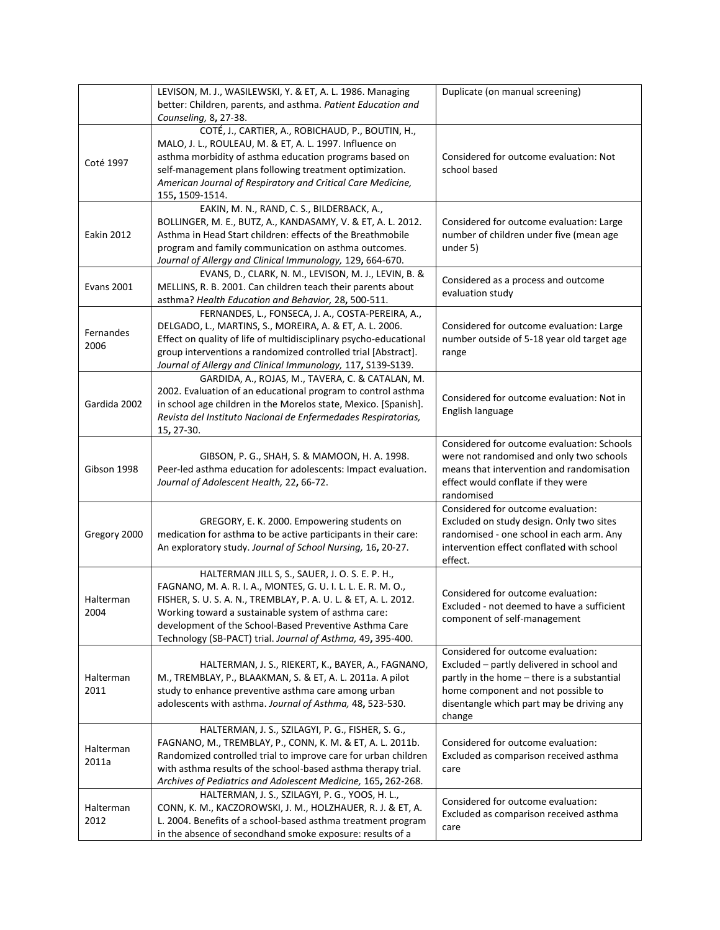|                   | LEVISON, M. J., WASILEWSKI, Y. & ET, A. L. 1986. Managing<br>better: Children, parents, and asthma. Patient Education and       | Duplicate (on manual screening)             |  |  |  |
|-------------------|---------------------------------------------------------------------------------------------------------------------------------|---------------------------------------------|--|--|--|
|                   | Counseling, 8, 27-38.                                                                                                           |                                             |  |  |  |
|                   | COTÉ, J., CARTIER, A., ROBICHAUD, P., BOUTIN, H.,<br>MALO, J. L., ROULEAU, M. & ET, A. L. 1997. Influence on                    |                                             |  |  |  |
|                   | asthma morbidity of asthma education programs based on                                                                          | Considered for outcome evaluation: Not      |  |  |  |
| Coté 1997         | self-management plans following treatment optimization.                                                                         | school based                                |  |  |  |
|                   | American Journal of Respiratory and Critical Care Medicine,                                                                     |                                             |  |  |  |
|                   | 155, 1509-1514.                                                                                                                 |                                             |  |  |  |
|                   | EAKIN, M. N., RAND, C. S., BILDERBACK, A.,                                                                                      |                                             |  |  |  |
|                   | BOLLINGER, M. E., BUTZ, A., KANDASAMY, V. & ET, A. L. 2012.                                                                     | Considered for outcome evaluation: Large    |  |  |  |
| Eakin 2012        | Asthma in Head Start children: effects of the Breathmobile                                                                      | number of children under five (mean age     |  |  |  |
|                   | program and family communication on asthma outcomes.                                                                            | under 5)                                    |  |  |  |
|                   | Journal of Allergy and Clinical Immunology, 129, 664-670.                                                                       |                                             |  |  |  |
|                   | EVANS, D., CLARK, N. M., LEVISON, M. J., LEVIN, B. &                                                                            | Considered as a process and outcome         |  |  |  |
| <b>Evans 2001</b> | MELLINS, R. B. 2001. Can children teach their parents about                                                                     | evaluation study                            |  |  |  |
|                   | asthma? Health Education and Behavior, 28, 500-511.                                                                             |                                             |  |  |  |
|                   | FERNANDES, L., FONSECA, J. A., COSTA-PEREIRA, A.,                                                                               |                                             |  |  |  |
| Fernandes         | DELGADO, L., MARTINS, S., MOREIRA, A. & ET, A. L. 2006.                                                                         | Considered for outcome evaluation: Large    |  |  |  |
| 2006              | Effect on quality of life of multidisciplinary psycho-educational                                                               | number outside of 5-18 year old target age  |  |  |  |
|                   | group interventions a randomized controlled trial [Abstract].                                                                   | range                                       |  |  |  |
|                   | Journal of Allergy and Clinical Immunology, 117, S139-S139.                                                                     |                                             |  |  |  |
|                   | GARDIDA, A., ROJAS, M., TAVERA, C. & CATALAN, M.                                                                                |                                             |  |  |  |
| Gardida 2002      | 2002. Evaluation of an educational program to control asthma<br>in school age children in the Morelos state, Mexico. [Spanish]. | Considered for outcome evaluation: Not in   |  |  |  |
|                   | Revista del Instituto Nacional de Enfermedades Respiratorias,                                                                   | English language                            |  |  |  |
|                   | 15, 27-30.                                                                                                                      |                                             |  |  |  |
|                   |                                                                                                                                 | Considered for outcome evaluation: Schools  |  |  |  |
|                   | GIBSON, P. G., SHAH, S. & MAMOON, H. A. 1998.                                                                                   | were not randomised and only two schools    |  |  |  |
| Gibson 1998       | Peer-led asthma education for adolescents: Impact evaluation.                                                                   | means that intervention and randomisation   |  |  |  |
|                   | Journal of Adolescent Health, 22, 66-72.                                                                                        | effect would conflate if they were          |  |  |  |
|                   |                                                                                                                                 | randomised                                  |  |  |  |
|                   |                                                                                                                                 | Considered for outcome evaluation:          |  |  |  |
|                   | GREGORY, E. K. 2000. Empowering students on                                                                                     | Excluded on study design. Only two sites    |  |  |  |
| Gregory 2000      | medication for asthma to be active participants in their care:                                                                  | randomised - one school in each arm. Any    |  |  |  |
|                   | An exploratory study. Journal of School Nursing, 16, 20-27.                                                                     | intervention effect conflated with school   |  |  |  |
|                   | HALTERMAN JILL S, S., SAUER, J. O. S. E. P. H.,                                                                                 | effect.                                     |  |  |  |
|                   | FAGNANO, M. A. R. I. A., MONTES, G. U. I. L. L. E. R. M. O.,                                                                    |                                             |  |  |  |
| Halterman         | FISHER, S. U. S. A. N., TREMBLAY, P. A. U. L. & ET, A. L. 2012.                                                                 | Considered for outcome evaluation:          |  |  |  |
| 2004              | Working toward a sustainable system of asthma care:                                                                             | Excluded - not deemed to have a sufficient  |  |  |  |
|                   | development of the School-Based Preventive Asthma Care                                                                          | component of self-management                |  |  |  |
|                   | Technology (SB-PACT) trial. Journal of Asthma, 49, 395-400.                                                                     |                                             |  |  |  |
|                   |                                                                                                                                 | Considered for outcome evaluation:          |  |  |  |
|                   | HALTERMAN, J. S., RIEKERT, K., BAYER, A., FAGNANO,                                                                              | Excluded - partly delivered in school and   |  |  |  |
| Halterman         | M., TREMBLAY, P., BLAAKMAN, S. & ET, A. L. 2011a. A pilot                                                                       | partly in the home - there is a substantial |  |  |  |
| 2011              | study to enhance preventive asthma care among urban                                                                             | home component and not possible to          |  |  |  |
|                   | adolescents with asthma. Journal of Asthma, 48, 523-530.                                                                        | disentangle which part may be driving any   |  |  |  |
|                   |                                                                                                                                 | change                                      |  |  |  |
|                   | HALTERMAN, J. S., SZILAGYI, P. G., FISHER, S. G.,                                                                               |                                             |  |  |  |
| Halterman         | FAGNANO, M., TREMBLAY, P., CONN, K. M. & ET, A. L. 2011b.                                                                       | Considered for outcome evaluation:          |  |  |  |
| 2011a             | Randomized controlled trial to improve care for urban children                                                                  | Excluded as comparison received asthma      |  |  |  |
|                   | with asthma results of the school-based asthma therapy trial.<br>Archives of Pediatrics and Adolescent Medicine, 165, 262-268.  | care                                        |  |  |  |
|                   | HALTERMAN, J. S., SZILAGYI, P. G., YOOS, H. L.,                                                                                 |                                             |  |  |  |
| Halterman         | CONN, K. M., KACZOROWSKI, J. M., HOLZHAUER, R. J. & ET, A.                                                                      | Considered for outcome evaluation:          |  |  |  |
| 2012              | L. 2004. Benefits of a school-based asthma treatment program                                                                    | Excluded as comparison received asthma      |  |  |  |
|                   | in the absence of secondhand smoke exposure: results of a                                                                       | care                                        |  |  |  |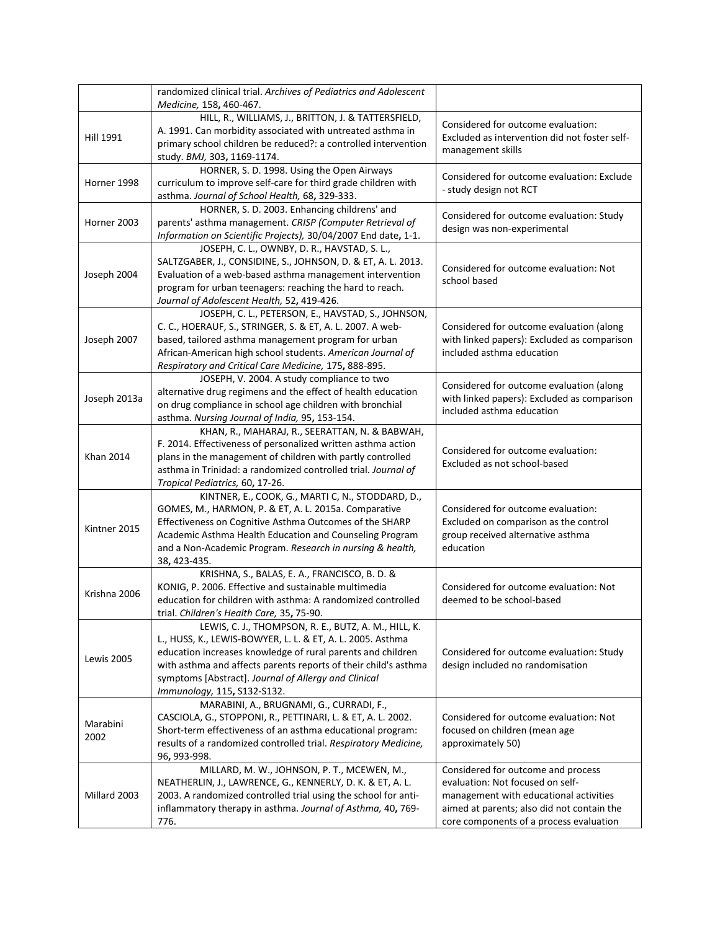|                   | randomized clinical trial. Archives of Pediatrics and Adolescent<br>Medicine, 158, 460-467.                                                                                                                                                                                                                                                 |                                                                                                                                                                                                           |
|-------------------|---------------------------------------------------------------------------------------------------------------------------------------------------------------------------------------------------------------------------------------------------------------------------------------------------------------------------------------------|-----------------------------------------------------------------------------------------------------------------------------------------------------------------------------------------------------------|
| Hill 1991         | HILL, R., WILLIAMS, J., BRITTON, J. & TATTERSFIELD,<br>A. 1991. Can morbidity associated with untreated asthma in<br>primary school children be reduced?: a controlled intervention<br>study. BMJ, 303, 1169-1174.                                                                                                                          | Considered for outcome evaluation:<br>Excluded as intervention did not foster self-<br>management skills                                                                                                  |
| Horner 1998       | HORNER, S. D. 1998. Using the Open Airways<br>curriculum to improve self-care for third grade children with<br>asthma. Journal of School Health, 68, 329-333.                                                                                                                                                                               | Considered for outcome evaluation: Exclude<br>- study design not RCT                                                                                                                                      |
| Horner 2003       | HORNER, S. D. 2003. Enhancing childrens' and<br>parents' asthma management. CRISP (Computer Retrieval of<br>Information on Scientific Projects), 30/04/2007 End date, 1-1.                                                                                                                                                                  | Considered for outcome evaluation: Study<br>design was non-experimental                                                                                                                                   |
| Joseph 2004       | JOSEPH, C. L., OWNBY, D. R., HAVSTAD, S. L.,<br>SALTZGABER, J., CONSIDINE, S., JOHNSON, D. & ET, A. L. 2013.<br>Evaluation of a web-based asthma management intervention<br>program for urban teenagers: reaching the hard to reach.<br>Journal of Adolescent Health, 52, 419-426.                                                          | Considered for outcome evaluation: Not<br>school based                                                                                                                                                    |
| Joseph 2007       | JOSEPH, C. L., PETERSON, E., HAVSTAD, S., JOHNSON,<br>C. C., HOERAUF, S., STRINGER, S. & ET, A. L. 2007. A web-<br>based, tailored asthma management program for urban<br>African-American high school students. American Journal of<br>Respiratory and Critical Care Medicine, 175, 888-895.                                               | Considered for outcome evaluation (along<br>with linked papers): Excluded as comparison<br>included asthma education                                                                                      |
| Joseph 2013a      | JOSEPH, V. 2004. A study compliance to two<br>alternative drug regimens and the effect of health education<br>on drug compliance in school age children with bronchial<br>asthma. Nursing Journal of India, 95, 153-154.                                                                                                                    | Considered for outcome evaluation (along<br>with linked papers): Excluded as comparison<br>included asthma education                                                                                      |
| <b>Khan 2014</b>  | KHAN, R., MAHARAJ, R., SEERATTAN, N. & BABWAH,<br>F. 2014. Effectiveness of personalized written asthma action<br>plans in the management of children with partly controlled<br>asthma in Trinidad: a randomized controlled trial. Journal of<br>Tropical Pediatrics, 60, 17-26.                                                            | Considered for outcome evaluation:<br>Excluded as not school-based                                                                                                                                        |
| Kintner 2015      | KINTNER, E., COOK, G., MARTI C, N., STODDARD, D.,<br>GOMES, M., HARMON, P. & ET, A. L. 2015a. Comparative<br>Effectiveness on Cognitive Asthma Outcomes of the SHARP<br>Academic Asthma Health Education and Counseling Program<br>and a Non-Academic Program. Research in nursing & health,<br>38, 423-435.                                | Considered for outcome evaluation:<br>Excluded on comparison as the control<br>group received alternative asthma<br>education                                                                             |
| Krishna 2006      | KRISHNA, S., BALAS, E. A., FRANCISCO, B. D. &<br>KONIG, P. 2006. Effective and sustainable multimedia<br>education for children with asthma: A randomized controlled<br>trial. Children's Health Care, 35, 75-90.                                                                                                                           | Considered for outcome evaluation: Not<br>deemed to be school-based                                                                                                                                       |
| <b>Lewis 2005</b> | LEWIS, C. J., THOMPSON, R. E., BUTZ, A. M., HILL, K.<br>L., HUSS, K., LEWIS-BOWYER, L. L. & ET, A. L. 2005. Asthma<br>education increases knowledge of rural parents and children<br>with asthma and affects parents reports of their child's asthma<br>symptoms [Abstract]. Journal of Allergy and Clinical<br>Immunology, 115, S132-S132. | Considered for outcome evaluation: Study<br>design included no randomisation                                                                                                                              |
| Marabini<br>2002  | MARABINI, A., BRUGNAMI, G., CURRADI, F.,<br>CASCIOLA, G., STOPPONI, R., PETTINARI, L. & ET, A. L. 2002.<br>Short-term effectiveness of an asthma educational program:<br>results of a randomized controlled trial. Respiratory Medicine,<br>96, 993-998.                                                                                    | Considered for outcome evaluation: Not<br>focused on children (mean age<br>approximately 50)                                                                                                              |
| Millard 2003      | MILLARD, M. W., JOHNSON, P. T., MCEWEN, M.,<br>NEATHERLIN, J., LAWRENCE, G., KENNERLY, D. K. & ET, A. L.<br>2003. A randomized controlled trial using the school for anti-<br>inflammatory therapy in asthma. Journal of Asthma, 40, 769-<br>776.                                                                                           | Considered for outcome and process<br>evaluation: Not focused on self-<br>management with educational activities<br>aimed at parents; also did not contain the<br>core components of a process evaluation |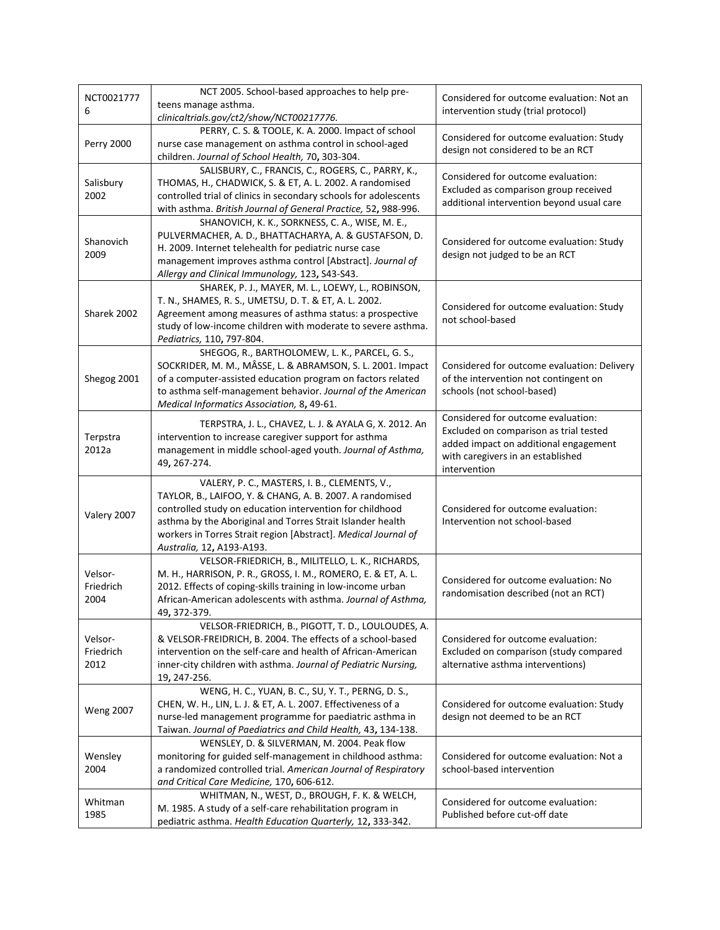| NCT0021777<br>6              | NCT 2005. School-based approaches to help pre-<br>teens manage asthma.<br>clinicaltrials.gov/ct2/show/NCT00217776.                                                                                                                                                                                                                | Considered for outcome evaluation: Not an<br>intervention study (trial protocol)                                                                                           |
|------------------------------|-----------------------------------------------------------------------------------------------------------------------------------------------------------------------------------------------------------------------------------------------------------------------------------------------------------------------------------|----------------------------------------------------------------------------------------------------------------------------------------------------------------------------|
| <b>Perry 2000</b>            | PERRY, C. S. & TOOLE, K. A. 2000. Impact of school<br>nurse case management on asthma control in school-aged<br>children. Journal of School Health, 70, 303-304.                                                                                                                                                                  | Considered for outcome evaluation: Study<br>design not considered to be an RCT                                                                                             |
| Salisbury<br>2002            | SALISBURY, C., FRANCIS, C., ROGERS, C., PARRY, K.,<br>THOMAS, H., CHADWICK, S. & ET, A. L. 2002. A randomised<br>controlled trial of clinics in secondary schools for adolescents<br>with asthma. British Journal of General Practice, 52, 988-996.                                                                               | Considered for outcome evaluation:<br>Excluded as comparison group received<br>additional intervention beyond usual care                                                   |
| Shanovich<br>2009            | SHANOVICH, K. K., SORKNESS, C. A., WISE, M. E.,<br>PULVERMACHER, A. D., BHATTACHARYA, A. & GUSTAFSON, D.<br>H. 2009. Internet telehealth for pediatric nurse case<br>management improves asthma control [Abstract]. Journal of<br>Allergy and Clinical Immunology, 123, S43-S43.                                                  | Considered for outcome evaluation: Study<br>design not judged to be an RCT                                                                                                 |
| Sharek 2002                  | SHAREK, P. J., MAYER, M. L., LOEWY, L., ROBINSON,<br>T. N., SHAMES, R. S., UMETSU, D. T. & ET, A. L. 2002.<br>Agreement among measures of asthma status: a prospective<br>study of low-income children with moderate to severe asthma.<br>Pediatrics, 110, 797-804.                                                               | Considered for outcome evaluation: Study<br>not school-based                                                                                                               |
| Shegog 2001                  | SHEGOG, R., BARTHOLOMEW, L. K., PARCEL, G. S.,<br>SOCKRIDER, M. M., MÂSSE, L. & ABRAMSON, S. L. 2001. Impact<br>of a computer-assisted education program on factors related<br>to asthma self-management behavior. Journal of the American<br>Medical Informatics Association, 8, 49-61.                                          | Considered for outcome evaluation: Delivery<br>of the intervention not contingent on<br>schools (not school-based)                                                         |
| Terpstra<br>2012a            | TERPSTRA, J. L., CHAVEZ, L. J. & AYALA G, X. 2012. An<br>intervention to increase caregiver support for asthma<br>management in middle school-aged youth. Journal of Asthma,<br>49, 267-274.                                                                                                                                      | Considered for outcome evaluation:<br>Excluded on comparison as trial tested<br>added impact on additional engagement<br>with caregivers in an established<br>intervention |
| Valery 2007                  | VALERY, P. C., MASTERS, I. B., CLEMENTS, V.,<br>TAYLOR, B., LAIFOO, Y. & CHANG, A. B. 2007. A randomised<br>controlled study on education intervention for childhood<br>asthma by the Aboriginal and Torres Strait Islander health<br>workers in Torres Strait region [Abstract]. Medical Journal of<br>Australia, 12, A193-A193. | Considered for outcome evaluation:<br>Intervention not school-based                                                                                                        |
| Velsor-<br>Friedrich<br>2004 | VELSOR-FRIEDRICH, B., MILITELLO, L. K., RICHARDS,<br>M. H., HARRISON, P. R., GROSS, I. M., ROMERO, E. & ET, A. L.<br>2012. Effects of coping-skills training in low-income urban<br>African-American adolescents with asthma. Journal of Asthma,<br>49, 372-379.                                                                  | Considered for outcome evaluation: No<br>randomisation described (not an RCT)                                                                                              |
| Velsor-<br>Friedrich<br>2012 | VELSOR-FRIEDRICH, B., PIGOTT, T. D., LOULOUDES, A.<br>& VELSOR-FREIDRICH, B. 2004. The effects of a school-based<br>intervention on the self-care and health of African-American<br>inner-city children with asthma. Journal of Pediatric Nursing,<br>19, 247-256.                                                                | Considered for outcome evaluation:<br>Excluded on comparison (study compared<br>alternative asthma interventions)                                                          |
| <b>Weng 2007</b>             | WENG, H. C., YUAN, B. C., SU, Y. T., PERNG, D. S.,<br>CHEN, W. H., LIN, L. J. & ET, A. L. 2007. Effectiveness of a<br>nurse-led management programme for paediatric asthma in<br>Taiwan. Journal of Paediatrics and Child Health, 43, 134-138.                                                                                    | Considered for outcome evaluation: Study<br>design not deemed to be an RCT                                                                                                 |
| Wensley<br>2004              | WENSLEY, D. & SILVERMAN, M. 2004. Peak flow<br>monitoring for guided self-management in childhood asthma:<br>a randomized controlled trial. American Journal of Respiratory<br>and Critical Care Medicine, 170, 606-612.                                                                                                          | Considered for outcome evaluation: Not a<br>school-based intervention                                                                                                      |
| Whitman<br>1985              | WHITMAN, N., WEST, D., BROUGH, F. K. & WELCH,<br>M. 1985. A study of a self-care rehabilitation program in<br>pediatric asthma. Health Education Quarterly, 12, 333-342.                                                                                                                                                          | Considered for outcome evaluation:<br>Published before cut-off date                                                                                                        |